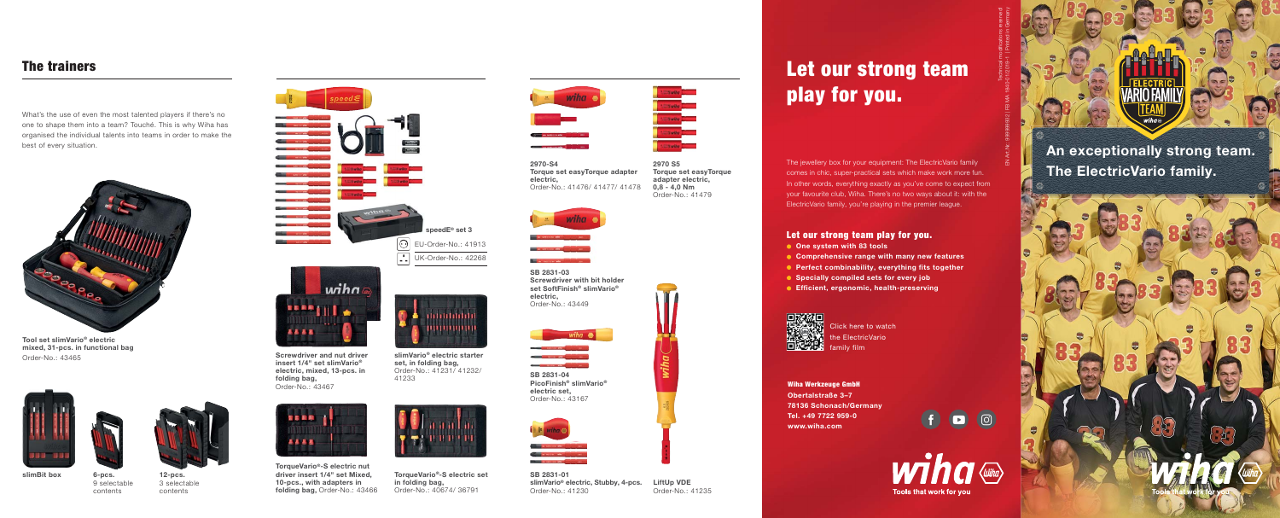# Let our strong team play for you.

Wiha Werkzeuge GmbH Obertalstraße 3–7 78136 Schonach/Germany Tel. +49 7722 959-0 www.wiha.com



The jewellery box for your equipment: The ElectricVario family comes in chic, super-practical sets which make work more fun. In other words, everything exactly as you've come to expect from your favourite club, Wiha. There's no two ways about it: with the ElectricVario family, you're playing in the premier league.

### Let our strong team play for you.

- One system with 83 tools
- **Comprehensive range with many new features**
- Perfect combinability, everything fits together
- Specially compiled sets for every job
- **Contact Efficient, ergonomic, health-preserving**



### The trainers

What's the use of even the most talented players if there's no one to shape them into a team? Touché. This is why Wiha has organised the individual talents into teams in order to make the best of every situation.



Order-No.: 43465 **Screwdriver and nut driver** slimVario® electric starter starter starter starter starter starter insert 1/4" set slimVario® electric, mixed, 13-pcs. in folding bag, Order-No.: 43467



Click here to watch the ElectricVario family film

An exceptionally strong team. The ElectricVario family.

 $\odot$  EU-Order-No.: 41913 **DE** UK-Order-No.: 42268 speedE® set 3



Tool set slimVario® electric mixed, 31-pcs. in functional bag





set, in folding bag, Order-No.: 41231/ 41232/ 41233



TorqueVario®-S electric set in folding bag, Order-No.: 40674/ 36791





LiftUp VDE Order-No.: 41235

2970 S5 Torque set easyTorque adapter electric,  $0.8 - 4.0$  Nm Order-No.: 41479



The concerns where the company

2970-S4 Torque set easyTorque adapter electric, Order-No.: 41476/ 41477/ 41478

SB 2831-04 PicoFinish® slimVario® electric set, Order-No.: 43167



SB 2831-01 slimVario® electric, Stubby, 4-pcs. Order-No.: 41230

SB 2831-03 Screwdriver with bit holder set SoftFinish® slimVario® electric, Order-No.: 43449



TorqueVario®-S electric nut driver insert 1/4" set Mixed, 10-pcs., with adapters in folding bag, Order-No.: 43466



Technical modifications reserved!

EN Art.Nr.: 999999932 | FB MA 1840-01/2019-1 | Printed in Germany



6-pcs.

9 selectable contents 12-pcs. 3 selectable contents

slimBit box